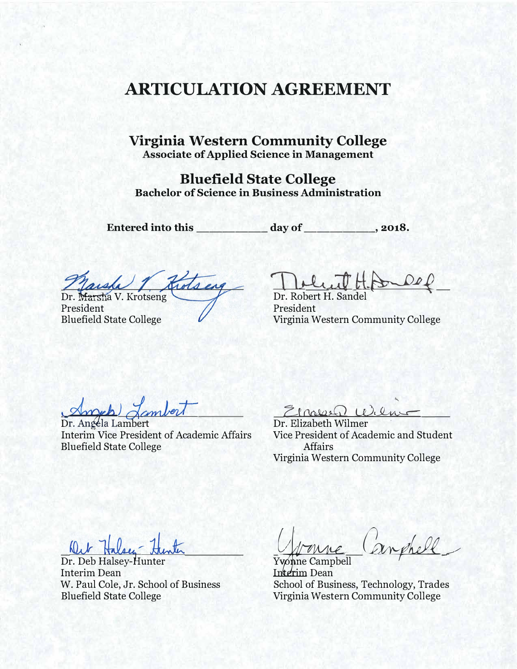## **ARTICULATION AGREEMENT**

### Virginia Western Community College **Associate of Applied Science in Management**

**Bluefield State College Bachelor of Science in Business Administration** 

Entered into this \_\_\_\_\_\_\_\_\_\_\_ day of

 $\frac{1}{2018}$ .

Marsh 1 Kotsing

President **Bluefield State College** 

Doluit

Dr. Robert H. Sandel President Virginia Western Community College

Dr. Angela Lambert **Interim Vice President of Academic Affairs Bluefield State College** 

Elargen Wilme

Dr. Elizabeth Wilmer Vice President of Academic and Student **Affairs** Virginia Western Community College

 $0.1$ 

Dr. Deb Halsey-Hunter Interim Dean W. Paul Cole, Jr. School of Business **Bluefield State College** 

Yvonne Campbell Interim Dean School of Business, Technology, Trades Virginia Western Community College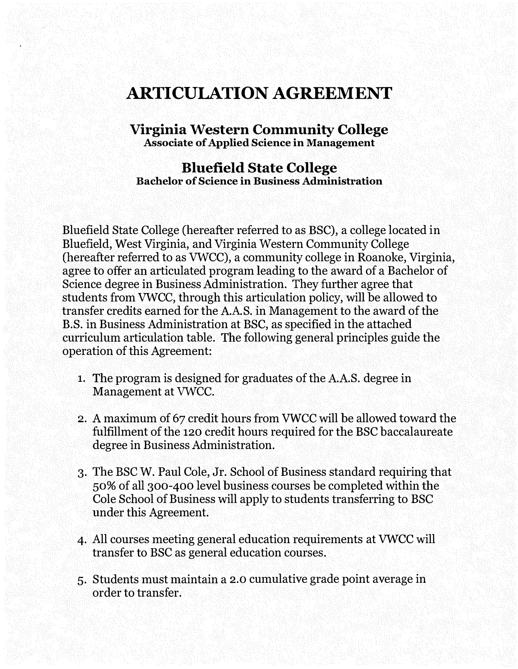# **ARTICULATION AGREEMENT**

#### **Virginia Western Community College Associate of Applied Science in Management**

#### **Bluefield State College Bachelor of Science in Business Administration**

Bluefield State College (hereafter referred to as BSC), a college located in Bluefield, West Virginia, and Virginia Western Community College (hereafter referred to as VWCC), a community college in Roanoke, Virginia, agree to offer an articulated program leading to the award of a Bachelor of Science degree in Business Administration. They further agree that students from VWCC, through this articulation policy, will be allowed to transfer credits earned for the A.AS. in Management to the award of the B.S. in Business Administration at BSC, as specified in the attached curriculum articulation table. The following general principles guide the operation of this Agreement:

- 1. The program is designed for graduates of the A.A.S. degree in Management at VWCC.
- 2. A maximum of 67 credit hours from VWCC will be allowed toward the fulfillment of the 120 credit hours required for the BSC baccalaureate degree in Business Administration.
- 3. The BSC W. Paul Cole, Jr. School of Business standard requiring that 50% of all 300-400 level business courses be completed within the Cole School of Business will apply to students transferring to BSC under this Agreement.
- 4. All courses meeting general education requirements at VWCC will transfer to BSC as general education courses.
- 5. Students must maintain a 2.0 cumulative grade point average in order to transfer.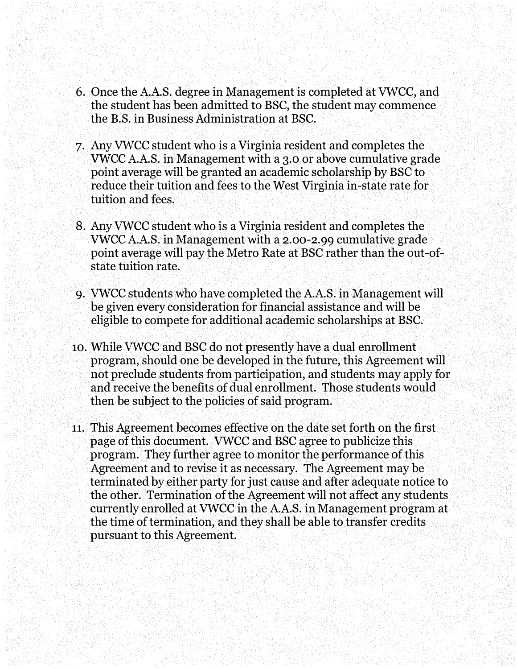- 6. Once the A.A.S. degree in Management is completed at VWCC, and the student has been admitted to BSC, the student may commence the B.S. in Business Administration at BSC.
- 7. Any VWCC student who is a Virginia resident and completes the VWCC A.A.S. in Management with a 3.0 or above cumulative grade point average will be granted an academic scholarship by BSC to reduce their tuition and fees to the West Virginia in-state rate for tuition and fees.
- 8. Any VWCC student who is a Virginia resident and completes the VWCC A.A.S. in Management with a [2.00-2.99](https://2.00-2.99) cumulative grade point average will pay the Metro Rate at BSC rather than the out-ofstate tuition rate.
- 9. VWCC students who have completed the A.A.S. in Management will be given every consideration for financial assistance and will be eligible to compete for additional academic scholarships at BSC.
- 10. While VWCC and BSC do not presently have a dual enrollment program, should one be developed in the future, this Agreement will not preclude students from participation, and students may apply for and receive the benefits of dual enrollment. Those students would then be subject to the policies of said program.
- 11. This Agreement becomes effective on the date set forth on the first page of this document. VWCC and BSC agree to publicize this program. They further agree to monitor the performance of this Agreement and to revise it as necessary. The Agreement may be terminated by either party for just cause and after adequate notice to the other. Termination of the Agreement will not affect any students currently enrolled at VWCC in the A.A.S. in Management program at the time of termination, and they shall be able to transfer credits pursuant to this Agreement.